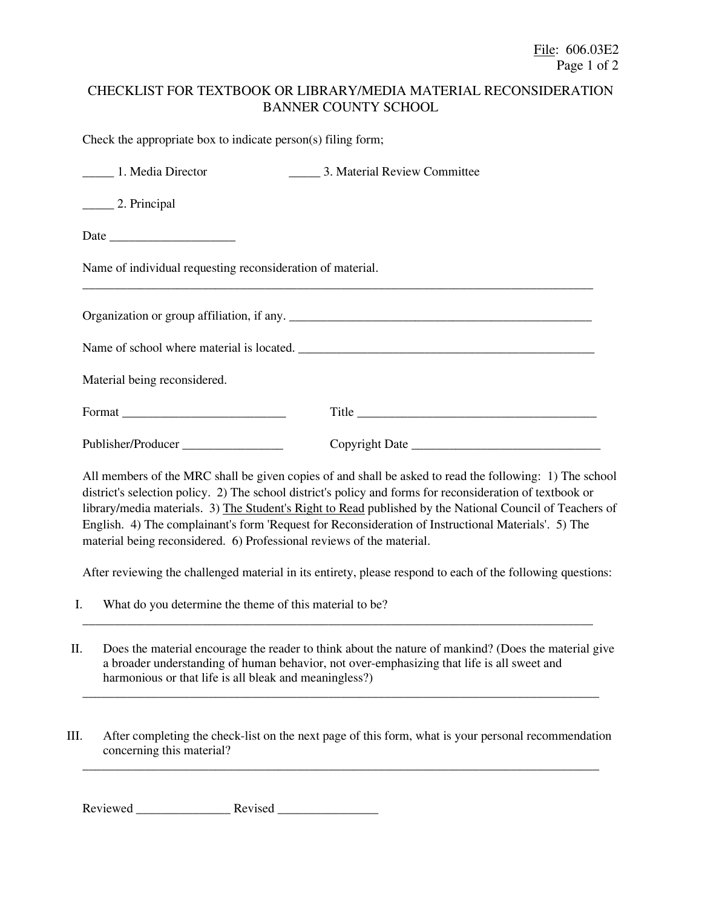## CHECKLIST FOR TEXTBOOK OR LIBRARY/MEDIA MATERIAL RECONSIDERATION BANNER COUNTY SCHOOL

Check the appropriate box to indicate person(s) filing form;

| 1. Media Director                                          | 3. Material Review Committee |  |  |  |  |  |
|------------------------------------------------------------|------------------------------|--|--|--|--|--|
| 2. Principal                                               |                              |  |  |  |  |  |
|                                                            |                              |  |  |  |  |  |
| Name of individual requesting reconsideration of material. |                              |  |  |  |  |  |
|                                                            |                              |  |  |  |  |  |
|                                                            |                              |  |  |  |  |  |
| Material being reconsidered.                               |                              |  |  |  |  |  |
|                                                            |                              |  |  |  |  |  |
| Publisher/Producer                                         |                              |  |  |  |  |  |
|                                                            |                              |  |  |  |  |  |

All members of the MRC shall be given copies of and shall be asked to read the following: 1) The school district's selection policy. 2) The school district's policy and forms for reconsideration of textbook or library/media materials. 3) The Student's Right to Read published by the National Council of Teachers of English. 4) The complainant's form 'Request for Reconsideration of Instructional Materials'. 5) The material being reconsidered. 6) Professional reviews of the material.

After reviewing the challenged material in its entirety, please respond to each of the following questions:

- I. What do you determine the theme of this material to be?
- II. Does the material encourage the reader to think about the nature of mankind? (Does the material give a broader understanding of human behavior, not over-emphasizing that life is all sweet and harmonious or that life is all bleak and meaningless?)

\_\_\_\_\_\_\_\_\_\_\_\_\_\_\_\_\_\_\_\_\_\_\_\_\_\_\_\_\_\_\_\_\_\_\_\_\_\_\_\_\_\_\_\_\_\_\_\_\_\_\_\_\_\_\_\_\_\_\_\_\_\_\_\_\_\_\_\_\_\_\_\_\_\_\_\_\_\_\_\_\_\_

\_\_\_\_\_\_\_\_\_\_\_\_\_\_\_\_\_\_\_\_\_\_\_\_\_\_\_\_\_\_\_\_\_\_\_\_\_\_\_\_\_\_\_\_\_\_\_\_\_\_\_\_\_\_\_\_\_\_\_\_\_\_\_\_\_\_\_\_\_\_\_\_\_\_\_\_\_\_\_\_\_

III. After completing the check-list on the next page of this form, what is your personal recommendation concerning this material? \_\_\_\_\_\_\_\_\_\_\_\_\_\_\_\_\_\_\_\_\_\_\_\_\_\_\_\_\_\_\_\_\_\_\_\_\_\_\_\_\_\_\_\_\_\_\_\_\_\_\_\_\_\_\_\_\_\_\_\_\_\_\_\_\_\_\_\_\_\_\_\_\_\_\_\_\_\_\_\_\_\_

Reviewed Revised